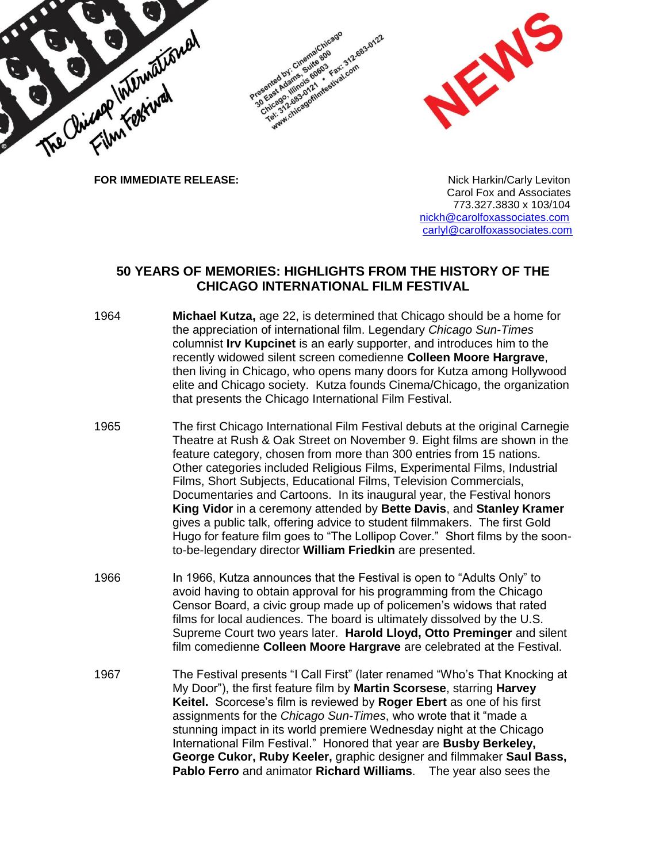

 Carol Fox and Associates 773.327.3830 x 103/104 [nickh@carolfoxassociates.com](mailto:nickh@carolfoxassociates.com) [carlyl@carolfoxassociates.com](mailto:carlyl@carolfoxassociates.com)

## **50 YEARS OF MEMORIES: HIGHLIGHTS FROM THE HISTORY OF THE CHICAGO INTERNATIONAL FILM FESTIVAL**

- 1964 **Michael Kutza,** age 22, is determined that Chicago should be a home for the appreciation of international film. Legendary *Chicago Sun-Times* columnist **Irv Kupcinet** is an early supporter, and introduces him to the recently widowed silent screen comedienne **Colleen Moore Hargrave**, then living in Chicago, who opens many doors for Kutza among Hollywood elite and Chicago society. Kutza founds Cinema/Chicago, the organization that presents the Chicago International Film Festival.
- 1965 The first Chicago International Film Festival debuts at the original Carnegie Theatre at Rush & Oak Street on November 9. Eight films are shown in the feature category, chosen from more than 300 entries from 15 nations. Other categories included Religious Films, Experimental Films, Industrial Films, Short Subjects, Educational Films, Television Commercials, Documentaries and Cartoons. In its inaugural year, the Festival honors **King Vidor** in a ceremony attended by **Bette Davis**, and **Stanley Kramer** gives a public talk, offering advice to student filmmakers. The first Gold Hugo for feature film goes to "The Lollipop Cover." Short films by the soonto-be-legendary director **William Friedkin** are presented.
- 1966 In 1966, Kutza announces that the Festival is open to "Adults Only" to avoid having to obtain approval for his programming from the Chicago Censor Board, a civic group made up of policemen's widows that rated films for local audiences. The board is ultimately dissolved by the U.S. Supreme Court two years later. **Harold Lloyd, Otto Preminger** and silent film comedienne **Colleen Moore Hargrave** are celebrated at the Festival.
- 1967 The Festival presents "I Call First" (later renamed "Who's That Knocking at My Door"), the first feature film by **Martin Scorsese**, starring **Harvey Keitel.** Scorcese's film is reviewed by **Roger Ebert** as one of his first assignments for the *Chicago Sun-Times*, who wrote that it "made a stunning impact in its world premiere Wednesday night at the Chicago International Film Festival." Honored that year are **Busby Berkeley, George Cukor, Ruby Keeler,** graphic designer and filmmaker **Saul Bass, Pablo Ferro** and animator **Richard Williams**. The year also sees the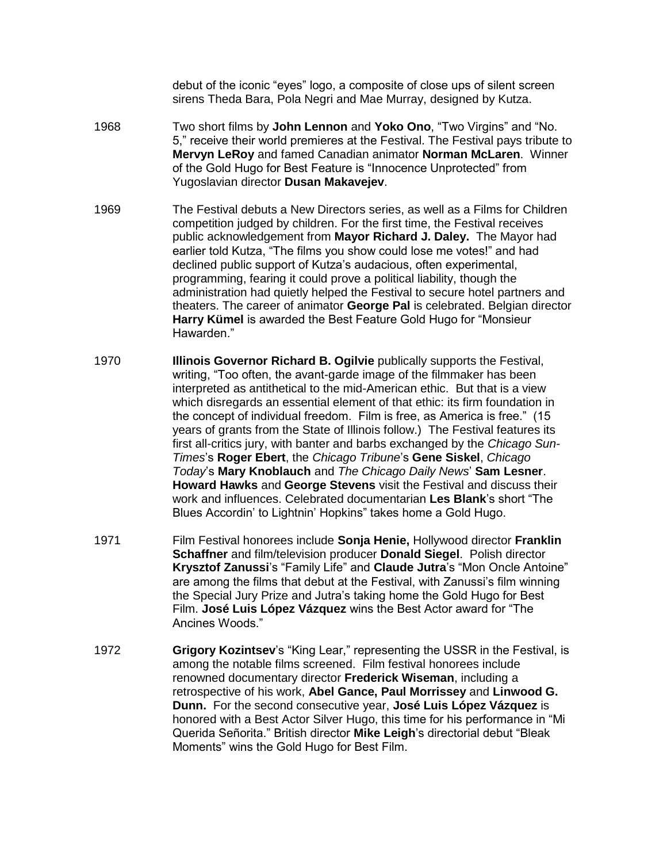debut of the iconic "eyes" logo, a composite of close ups of silent screen sirens Theda Bara, Pola Negri and Mae Murray, designed by Kutza.

- 1968 Two short films by **John Lennon** and **Yoko Ono**, "Two Virgins" and "No. 5," receive their world premieres at the Festival. The Festival pays tribute to **Mervyn LeRoy** and famed Canadian animator **Norman McLaren**. Winner of the Gold Hugo for Best Feature is "Innocence Unprotected" from Yugoslavian director **Dusan Makavejev**.
- 1969 The Festival debuts a New Directors series, as well as a Films for Children competition judged by children. For the first time, the Festival receives public acknowledgement from **Mayor Richard J. Daley.** The Mayor had earlier told Kutza, "The films you show could lose me votes!" and had declined public support of Kutza's audacious, often experimental, programming, fearing it could prove a political liability, though the administration had quietly helped the Festival to secure hotel partners and theaters. The career of animator **George Pal** is celebrated. Belgian director **Harry Kümel** is awarded the Best Feature Gold Hugo for "Monsieur Hawarden."
- 1970 **Illinois Governor Richard B. Ogilvie** publically supports the Festival, writing, "Too often, the avant-garde image of the filmmaker has been interpreted as antithetical to the mid-American ethic. But that is a view which disregards an essential element of that ethic: its firm foundation in the concept of individual freedom. Film is free, as America is free." (15 years of grants from the State of Illinois follow.) The Festival features its first all-critics jury, with banter and barbs exchanged by the *Chicago Sun-Times*'s **Roger Ebert**, the *Chicago Tribune*'s **Gene Siskel**, *Chicago Today*'s **Mary Knoblauch** and *The Chicago Daily News*' **Sam Lesner**. **Howard Hawks** and **George Stevens** visit the Festival and discuss their work and influences. Celebrated documentarian **Les Blank**'s short "The Blues Accordin' to Lightnin' Hopkins" takes home a Gold Hugo.
- 1971 Film Festival honorees include **Sonja Henie,** Hollywood director **Franklin Schaffner** and film/television producer **Donald Siegel**. Polish director **Krysztof Zanussi**'s "Family Life" and **Claude Jutra**'s "Mon Oncle Antoine" are among the films that debut at the Festival, with Zanussi's film winning the Special Jury Prize and Jutra's taking home the Gold Hugo for Best Film. **José Luis López Vázquez** wins the Best Actor award for "The Ancines Woods."
- 1972 **Grigory Kozintsev**'s "King Lear," representing the USSR in the Festival, is among the notable films screened. Film festival honorees include renowned documentary director **Frederick Wiseman**, including a retrospective of his work, **Abel Gance, Paul Morrissey** and **Linwood G. Dunn.** For the second consecutive year, **José Luis López Vázquez** is honored with a Best Actor Silver Hugo, this time for his performance in "Mi Querida Señorita." British director **Mike Leigh**'s directorial debut "Bleak Moments" wins the Gold Hugo for Best Film.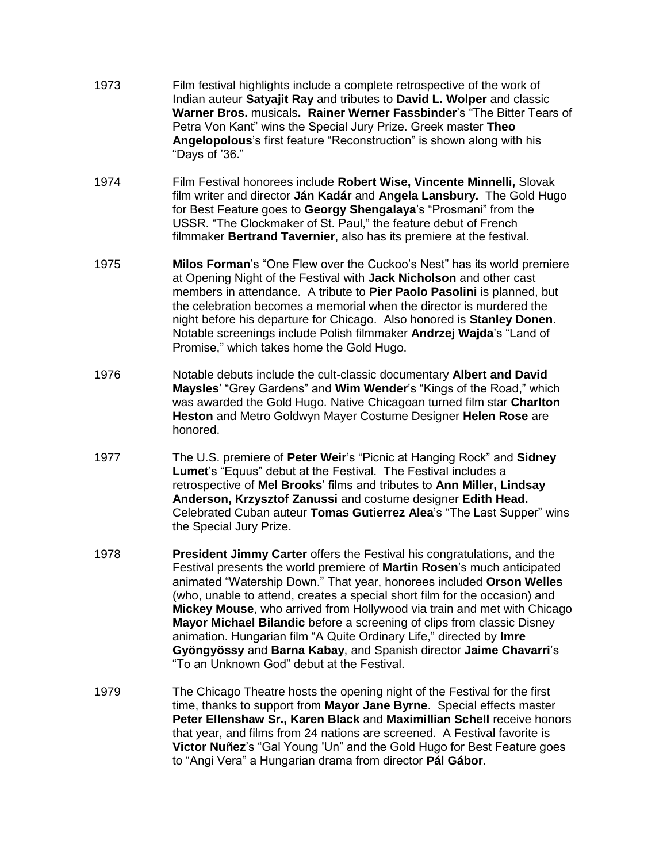- 1973 Film festival highlights include a complete retrospective of the work of Indian auteur **Satyajit Ray** and tributes to **David L. Wolper** and classic **Warner Bros.** musicals**. Rainer Werner Fassbinder**'s "The Bitter Tears of Petra Von Kant" wins the Special Jury Prize. Greek master **Theo Angelopolous**'s first feature "Reconstruction" is shown along with his "Days of '36."
- 1974 Film Festival honorees include **Robert Wise, Vincente Minnelli,** Slovak film writer and director **Ján Kadár** and **Angela Lansbury.** The Gold Hugo for Best Feature goes to **Georgy Shengalaya**'s "Prosmani" from the USSR. "The Clockmaker of St. Paul," the feature debut of French filmmaker **Bertrand Tavernier**, also has its premiere at the festival.
- 1975 **Milos Forman**'s "One Flew over the Cuckoo's Nest" has its world premiere at Opening Night of the Festival with **Jack Nicholson** and other cast members in attendance. A tribute to **Pier Paolo Pasolini** is planned, but the celebration becomes a memorial when the director is murdered the night before his departure for Chicago. Also honored is **Stanley Donen**. Notable screenings include Polish filmmaker **Andrzej Wajda**'s "Land of Promise," which takes home the Gold Hugo.
- 1976 Notable debuts include the cult-classic documentary **Albert and David Maysles**' "Grey Gardens" and **Wim Wender**'s "Kings of the Road," which was awarded the Gold Hugo. Native Chicagoan turned film star **Charlton Heston** and Metro Goldwyn Mayer Costume Designer **Helen Rose** are honored.
- 1977 The U.S. premiere of **Peter Weir**'s "Picnic at Hanging Rock" and **Sidney Lumet**'s "Equus" debut at the Festival. The Festival includes a retrospective of **Mel Brooks**' films and tributes to **Ann Miller, Lindsay Anderson, Krzysztof Zanussi** and costume designer **Edith Head.** Celebrated Cuban auteur **Tomas Gutierrez Alea**'s "The Last Supper" wins the Special Jury Prize.
- 1978 **President Jimmy Carter** offers the Festival his congratulations, and the Festival presents the world premiere of **Martin Rosen**'s much anticipated animated "Watership Down." That year, honorees included **Orson Welles** (who, unable to attend, creates a special short film for the occasion) and **Mickey Mouse**, who arrived from Hollywood via train and met with Chicago **Mayor Michael Bilandic** before a screening of clips from classic Disney animation. Hungarian film "A Quite Ordinary Life," directed by **Imre Gyöngyössy** and **Barna Kabay**, and Spanish director **Jaime Chavarri**'s "To an Unknown God" debut at the Festival.
- 1979 The Chicago Theatre hosts the opening night of the Festival for the first time, thanks to support from **Mayor Jane Byrne**. Special effects master **Peter Ellenshaw Sr., Karen Black** and **Maximillian Schell** receive honors that year, and films from 24 nations are screened. A Festival favorite is **Victor Nuñez**'s "Gal Young 'Un" and the Gold Hugo for Best Feature goes to "Angi Vera" a Hungarian drama from director **Pál Gábor**.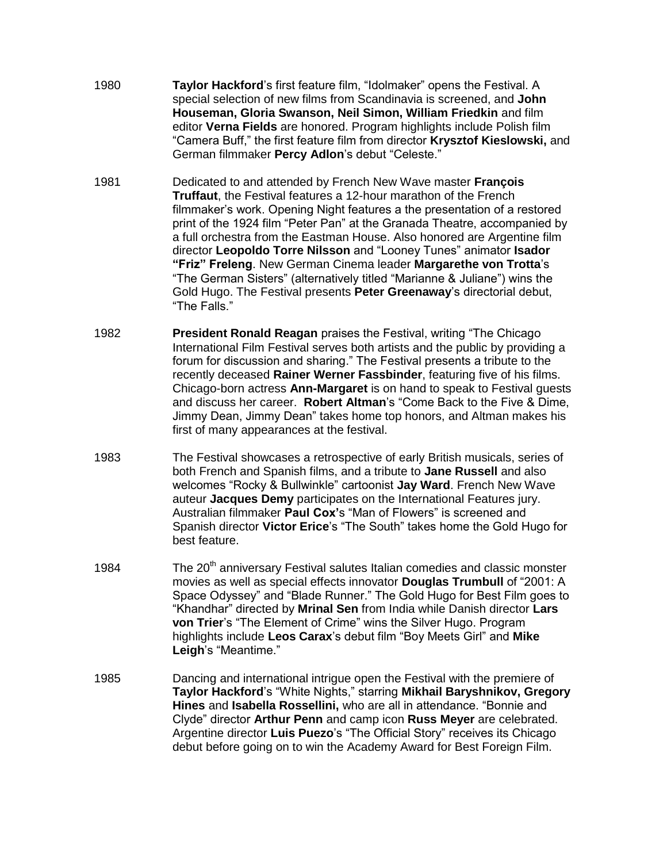- 1980 **Taylor Hackford**'s first feature film, "Idolmaker" opens the Festival. A special selection of new films from Scandinavia is screened, and **John Houseman, Gloria Swanson, Neil Simon, William Friedkin** and film editor **Verna Fields** are honored. Program highlights include Polish film "Camera Buff," the first feature film from director **Krysztof Kieslowski,** and German filmmaker **Percy Adlon**'s debut "Celeste."
- 1981 Dedicated to and attended by French New Wave master **François Truffaut**, the Festival features a 12-hour marathon of the French filmmaker's work. Opening Night features a the presentation of a restored print of the 1924 film "Peter Pan" at the Granada Theatre, accompanied by a full orchestra from the Eastman House. Also honored are Argentine film director **Leopoldo Torre Nilsson** and "Looney Tunes" animator **Isador "Friz" Freleng**. New German Cinema leader **Margarethe von Trotta**'s "The German Sisters" (alternatively titled "Marianne & Juliane") wins the Gold Hugo. The Festival presents **Peter Greenaway**'s directorial debut, "The Falls."
- 1982 **President Ronald Reagan** praises the Festival, writing "The Chicago International Film Festival serves both artists and the public by providing a forum for discussion and sharing." The Festival presents a tribute to the recently deceased **Rainer Werner Fassbinder**, featuring five of his films. Chicago-born actress **Ann-Margaret** is on hand to speak to Festival guests and discuss her career. **Robert Altman**'s "Come Back to the Five & Dime, Jimmy Dean, Jimmy Dean" takes home top honors, and Altman makes his first of many appearances at the festival.
- 1983 The Festival showcases a retrospective of early British musicals, series of both French and Spanish films, and a tribute to **Jane Russell** and also welcomes "Rocky & Bullwinkle" cartoonist **Jay Ward**. French New Wave auteur **Jacques Demy** participates on the International Features jury. Australian filmmaker **Paul Cox'**s "Man of Flowers" is screened and Spanish director **Victor Erice**'s "The South" takes home the Gold Hugo for best feature.
- 1984 The 20<sup>th</sup> anniversary Festival salutes Italian comedies and classic monster movies as well as special effects innovator **Douglas Trumbull** of "2001: A Space Odyssey" and "Blade Runner." The Gold Hugo for Best Film goes to "Khandhar" directed by **Mrinal Sen** from India while Danish director **Lars von Trier**'s "The Element of Crime" wins the Silver Hugo. Program highlights include **Leos Carax**'s debut film "Boy Meets Girl" and **Mike Leigh**'s "Meantime."
- 1985 Dancing and international intrigue open the Festival with the premiere of **Taylor Hackford**'s "White Nights," starring **Mikhail Baryshnikov, Gregory Hines** and **Isabella Rossellini,** who are all in attendance. "Bonnie and Clyde" director **Arthur Penn** and camp icon **Russ Meyer** are celebrated. Argentine director **Luis Puezo**'s "The Official Story" receives its Chicago debut before going on to win the Academy Award for Best Foreign Film.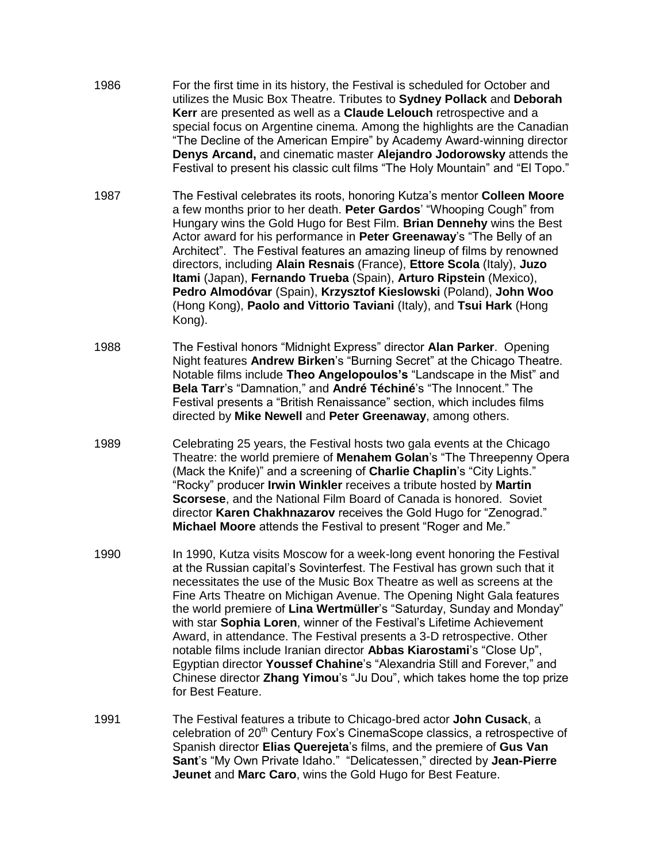- 1986 For the first time in its history, the Festival is scheduled for October and utilizes the Music Box Theatre. Tributes to **Sydney Pollack** and **Deborah Kerr** are presented as well as a **Claude Lelouch** retrospective and a special focus on Argentine cinema. Among the highlights are the Canadian "The Decline of the American Empire" by Academy Award-winning director **Denys Arcand,** and cinematic master **Alejandro Jodorowsky** attends the Festival to present his classic cult films "The Holy Mountain" and "El Topo."
- 1987 The Festival celebrates its roots, honoring Kutza's mentor **Colleen Moore** a few months prior to her death. **Peter Gardos**' "Whooping Cough" from Hungary wins the Gold Hugo for Best Film. **Brian Dennehy** wins the Best Actor award for his performance in **Peter Greenaway**'s "The Belly of an Architect". The Festival features an amazing lineup of films by renowned directors, including **Alain Resnais** (France), **Ettore Scola** (Italy), **Juzo Itami** (Japan), **Fernando Trueba** (Spain), **Arturo Ripstein** (Mexico), **Pedro Almodóvar** (Spain), **Krzysztof Kieslowski** (Poland), **John Woo** (Hong Kong), **Paolo and Vittorio Taviani** (Italy), and **Tsui Hark** (Hong Kong).
- 1988 The Festival honors "Midnight Express" director **Alan Parker**. Opening Night features **Andrew Birken**'s "Burning Secret" at the Chicago Theatre. Notable films include **Theo Angelopoulos's** "Landscape in the Mist" and **Bela Tarr**'s "Damnation," and **André Téchiné**'s "The Innocent." The Festival presents a "British Renaissance" section, which includes films directed by **Mike Newell** and **Peter Greenaway**, among others.
- 1989 Celebrating 25 years, the Festival hosts two gala events at the Chicago Theatre: the world premiere of **Menahem Golan**'s "The Threepenny Opera (Mack the Knife)" and a screening of **Charlie Chaplin**'s "City Lights." "Rocky" producer **Irwin Winkler** receives a tribute hosted by **Martin Scorsese**, and the National Film Board of Canada is honored. Soviet director **Karen Chakhnazarov** receives the Gold Hugo for "Zenograd." **Michael Moore** attends the Festival to present "Roger and Me."
- 1990 In 1990, Kutza visits Moscow for a week-long event honoring the Festival at the Russian capital's Sovinterfest. The Festival has grown such that it necessitates the use of the Music Box Theatre as well as screens at the Fine Arts Theatre on Michigan Avenue. The Opening Night Gala features the world premiere of **Lina Wertmüller**'s "Saturday, Sunday and Monday" with star **Sophia Loren**, winner of the Festival's Lifetime Achievement Award, in attendance. The Festival presents a 3-D retrospective. Other notable films include Iranian director **Abbas Kiarostami**'s "Close Up", Egyptian director **Youssef Chahine**'s "Alexandria Still and Forever," and Chinese director **Zhang Yimou**'s "Ju Dou", which takes home the top prize for Best Feature.
- 1991 The Festival features a tribute to Chicago-bred actor **John Cusack**, a celebration of 20<sup>th</sup> Century Fox's CinemaScope classics, a retrospective of Spanish director **Elias Querejeta**'s films, and the premiere of **Gus Van Sant**'s "My Own Private Idaho." "Delicatessen," directed by **Jean-Pierre Jeunet** and **Marc Caro**, wins the Gold Hugo for Best Feature.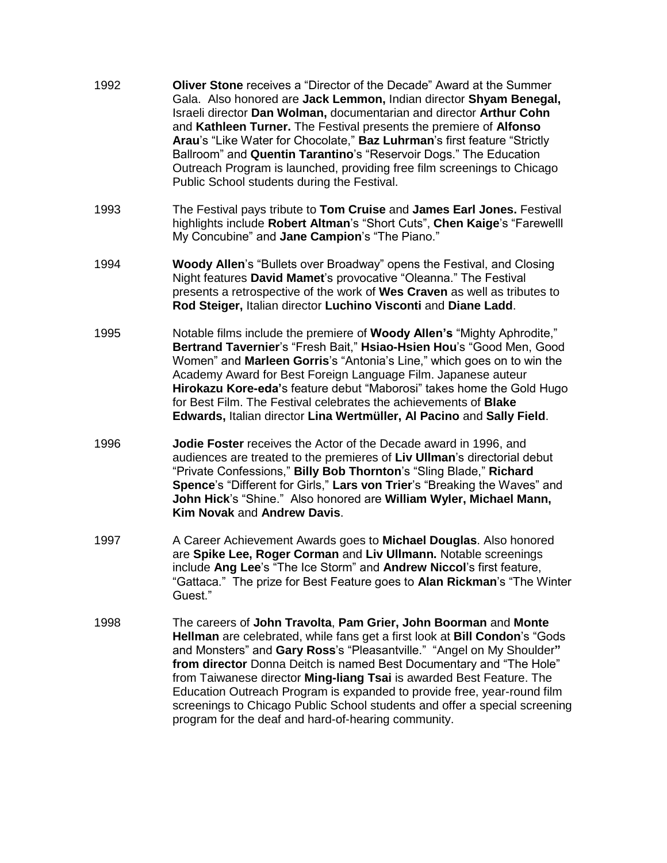- 1992 **Oliver Stone** receives a "Director of the Decade" Award at the Summer Gala. Also honored are **Jack Lemmon,** Indian director **Shyam Benegal,**  Israeli director **Dan Wolman,** documentarian and director **Arthur Cohn**  and **Kathleen Turner.** The Festival presents the premiere of **Alfonso Arau**'s "Like Water for Chocolate," **Baz Luhrman**'s first feature "Strictly Ballroom" and **Quentin Tarantino**'s "Reservoir Dogs." The Education Outreach Program is launched, providing free film screenings to Chicago Public School students during the Festival.
- 1993 The Festival pays tribute to **Tom Cruise** and **James Earl Jones.** Festival highlights include **Robert Altman**'s "Short Cuts", **Chen Kaige**'s "Farewelll My Concubine" and **Jane Campion**'s "The Piano."
- 1994 **Woody Allen**'s "Bullets over Broadway" opens the Festival, and Closing Night features **David Mamet**'s provocative "Oleanna." The Festival presents a retrospective of the work of **Wes Craven** as well as tributes to **Rod Steiger,** Italian director **Luchino Visconti** and **Diane Ladd**.
- 1995 Notable films include the premiere of **Woody Allen's** "Mighty Aphrodite," **Bertrand Tavernier**'s "Fresh Bait," **Hsiao-Hsien Hou**'s "Good Men, Good Women" and **Marleen Gorris**'s "Antonia's Line," which goes on to win the Academy Award for Best Foreign Language Film. Japanese auteur **Hirokazu Kore-eda'**s feature debut "Maborosi" takes home the Gold Hugo for Best Film. The Festival celebrates the achievements of **Blake Edwards,** Italian director **Lina Wertmüller, Al Pacino** and **Sally Field**.
- 1996 **Jodie Foster** receives the Actor of the Decade award in 1996, and audiences are treated to the premieres of **Liv Ullman**'s directorial debut "Private Confessions," **Billy Bob Thornton**'s "Sling Blade," **Richard Spence**'s "Different for Girls," **Lars von Trier**'s "Breaking the Waves" and **John Hick**'s "Shine." Also honored are **William Wyler, Michael Mann, Kim Novak** and **Andrew Davis**.
- 1997 A Career Achievement Awards goes to **Michael Douglas**. Also honored are **Spike Lee, Roger Corman** and **Liv Ullmann.** Notable screenings include **Ang Lee**'s "The Ice Storm" and **Andrew Niccol**'s first feature, "Gattaca." The prize for Best Feature goes to **Alan Rickman**'s "The Winter Guest."
- 1998 The careers of **John Travolta**, **Pam Grier, John Boorman** and **Monte Hellman** are celebrated, while fans get a first look at **Bill Condon**'s "Gods and Monsters" and **Gary Ross**'s "Pleasantville." "Angel on My Shoulder**" from director** Donna Deitch is named Best Documentary and "The Hole" from Taiwanese director **Ming-liang Tsai** is awarded Best Feature. The Education Outreach Program is expanded to provide free, year-round film screenings to Chicago Public School students and offer a special screening program for the deaf and hard-of-hearing community.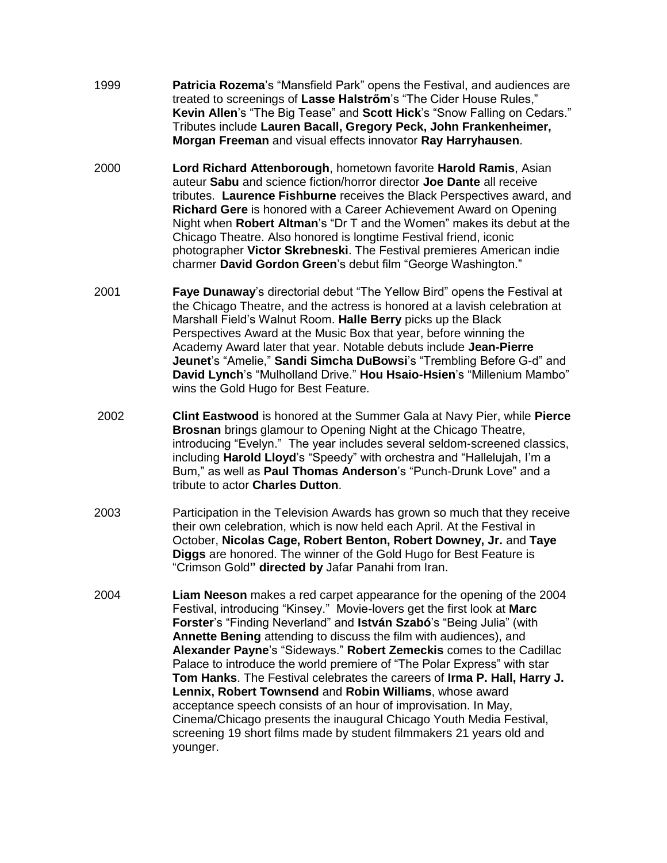- 1999 **Patricia Rozema**'s "Mansfield Park" opens the Festival, and audiences are treated to screenings of **Lasse Halstrőm**'s "The Cider House Rules," **Kevin Allen**'s "The Big Tease" and **Scott Hick**'s "Snow Falling on Cedars." Tributes include **Lauren Bacall, Gregory Peck, John Frankenheimer, Morgan Freeman** and visual effects innovator **Ray Harryhausen**.
- 2000 **Lord Richard Attenborough**, hometown favorite **Harold Ramis**, Asian auteur **Sabu** and science fiction/horror director **Joe Dante** all receive tributes. **Laurence Fishburne** receives the Black Perspectives award, and **Richard Gere** is honored with a Career Achievement Award on Opening Night when **Robert Altman**'s "Dr T and the Women" makes its debut at the Chicago Theatre. Also honored is longtime Festival friend, iconic photographer **Victor Skrebneski**. The Festival premieres American indie charmer **David Gordon Green**'s debut film "George Washington."
- 2001 **Faye Dunaway**'s directorial debut "The Yellow Bird" opens the Festival at the Chicago Theatre, and the actress is honored at a lavish celebration at Marshall Field's Walnut Room. **Halle Berry** picks up the Black Perspectives Award at the Music Box that year, before winning the Academy Award later that year. Notable debuts include **Jean-Pierre Jeunet**'s "Amelie," **Sandi Simcha DuBowsi**'s "Trembling Before G-d" and **David Lynch**'s "Mulholland Drive." **Hou Hsaio-Hsien**'s "Millenium Mambo" wins the Gold Hugo for Best Feature.
- 2002 **Clint Eastwood** is honored at the Summer Gala at Navy Pier, while **Pierce Brosnan** brings glamour to Opening Night at the Chicago Theatre, introducing "Evelyn." The year includes several seldom-screened classics, including **Harold Lloyd**'s "Speedy" with orchestra and "Hallelujah, I'm a Bum," as well as **Paul Thomas Anderson**'s "Punch-Drunk Love" and a tribute to actor **Charles Dutton**.
- 2003 Participation in the Television Awards has grown so much that they receive their own celebration, which is now held each April. At the Festival in October, **Nicolas Cage, Robert Benton, Robert Downey, Jr.** and **Taye Diggs** are honored. The winner of the Gold Hugo for Best Feature is "Crimson Gold**" directed by** Jafar Panahi from Iran.
- 2004 **Liam Neeson** makes a red carpet appearance for the opening of the 2004 Festival, introducing "Kinsey." Movie-lovers get the first look at **Marc Forster**'s "Finding Neverland" and **István Szabó**'s "Being Julia" (with **Annette Bening** attending to discuss the film with audiences), and **Alexander Payne**'s "Sideways." **Robert Zemeckis** comes to the Cadillac Palace to introduce the world premiere of "The Polar Express" with star **Tom Hanks**. The Festival celebrates the careers of **Irma P. Hall, Harry J. Lennix, Robert Townsend** and **Robin Williams**, whose award acceptance speech consists of an hour of improvisation. In May, Cinema/Chicago presents the inaugural Chicago Youth Media Festival, screening 19 short films made by student filmmakers 21 years old and younger.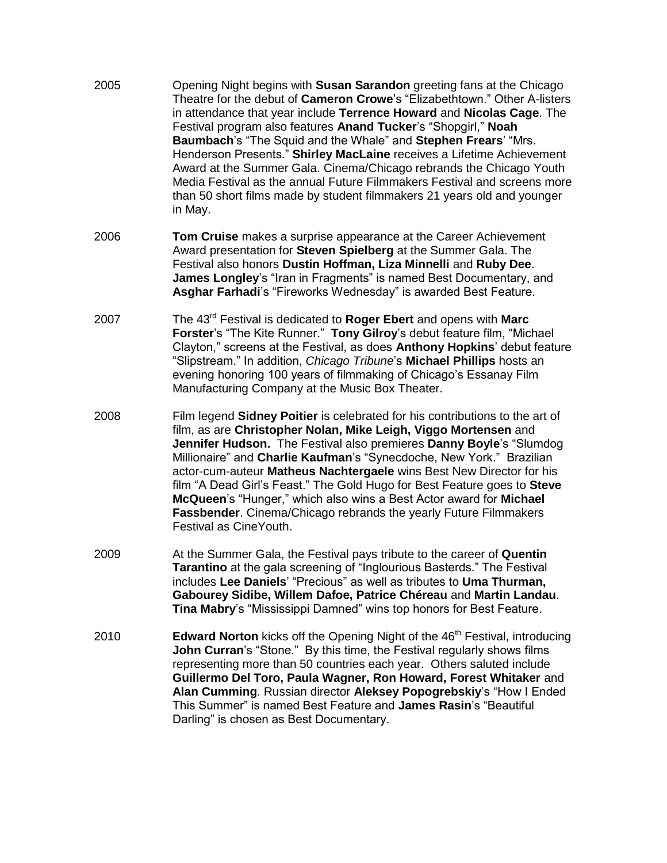- 2005 Opening Night begins with **Susan Sarandon** greeting fans at the Chicago Theatre for the debut of **Cameron Crowe**'s "Elizabethtown." Other A-listers in attendance that year include **Terrence Howard** and **Nicolas Cage**. The Festival program also features **Anand Tucker**'s "Shopgirl," **Noah Baumbach**'s "The Squid and the Whale" and **Stephen Frears**' "Mrs. Henderson Presents." **Shirley MacLaine** receives a Lifetime Achievement Award at the Summer Gala. Cinema/Chicago rebrands the Chicago Youth Media Festival as the annual Future Filmmakers Festival and screens more than 50 short films made by student filmmakers 21 years old and younger in May.
- 2006 **Tom Cruise** makes a surprise appearance at the Career Achievement Award presentation for **Steven Spielberg** at the Summer Gala. The Festival also honors **Dustin Hoffman, Liza Minnelli** and **Ruby Dee**. **James Longley**'s "Iran in Fragments" is named Best Documentary, and **Asghar Farhadi**'s "Fireworks Wednesday" is awarded Best Feature.
- 2007 The 43rd Festival is dedicated to **Roger Ebert** and opens with **Marc Forster**'s "The Kite Runner." **Tony Gilroy**'s debut feature film, "Michael Clayton," screens at the Festival, as does **Anthony Hopkins**' debut feature "Slipstream." In addition, *Chicago Tribune*'s **Michael Phillips** hosts an evening honoring 100 years of filmmaking of Chicago's Essanay Film Manufacturing Company at the Music Box Theater.
- 2008 Film legend **Sidney Poitier** is celebrated for his contributions to the art of film, as are **Christopher Nolan, Mike Leigh, Viggo Mortensen** and **Jennifer Hudson.** The Festival also premieres **Danny Boyle**'s "Slumdog Millionaire" and **Charlie Kaufman**'s "Synecdoche, New York." Brazilian actor-cum-auteur **Matheus Nachtergaele** wins Best New Director for his film "A Dead Girl's Feast." The Gold Hugo for Best Feature goes to **Steve McQueen**'s "Hunger," which also wins a Best Actor award for **Michael Fassbender**. Cinema/Chicago rebrands the yearly Future Filmmakers Festival as CineYouth.
- 2009 At the Summer Gala, the Festival pays tribute to the career of **Quentin Tarantino** at the gala screening of "Inglourious Basterds." The Festival includes **Lee Daniels**' "Precious" as well as tributes to **Uma Thurman, Gabourey Sidibe, Willem Dafoe, Patrice Chéreau** and **Martin Landau**. **Tina Mabry**'s "Mississippi Damned" wins top honors for Best Feature.
- 2010 **Edward Norton** kicks off the Opening Night of the 46<sup>th</sup> Festival, introducing **John Curran**'s "Stone." By this time, the Festival regularly shows films representing more than 50 countries each year. Others saluted include **Guillermo Del Toro, Paula Wagner, Ron Howard, Forest Whitaker** and **Alan Cumming**. Russian director **Aleksey Popogrebskiy**'s "How I Ended This Summer" is named Best Feature and **James Rasin**'s "Beautiful Darling" is chosen as Best Documentary.